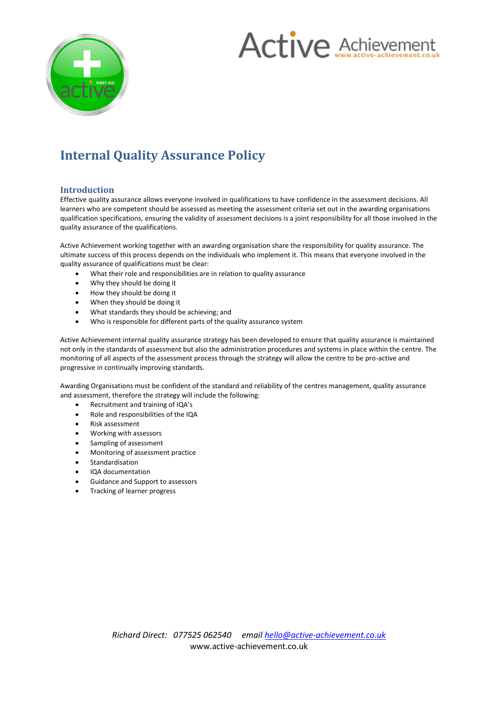



# **Internal Quality Assurance Policy**

## **Introduction**

Effective quality assurance allows everyone involved in qualifications to have confidence in the assessment decisions. All learners who are competent should be assessed as meeting the assessment criteria set out in the awarding organisations qualification specifications, ensuring the validity of assessment decisions is a joint responsibility for all those involved in the quality assurance of the qualifications.

Active Achievement working together with an awarding organisation share the responsibility for quality assurance. The ultimate success of this process depends on the individuals who implement it. This means that everyone involved in the quality assurance of qualifications must be clear:

- What their role and responsibilities are in relation to quality assurance
- Why they should be doing it
- How they should be doing it
- When they should be doing it
- What standards they should be achieving; and
- Who is responsible for different parts of the quality assurance system

Active Achievement internal quality assurance strategy has been developed to ensure that quality assurance is maintained not only in the standards of assessment but also the administration procedures and systems in place within the centre. The monitoring of all aspects of the assessment process through the strategy will allow the centre to be pro-active and progressive in continually improving standards.

Awarding Organisations must be confident of the standard and reliability of the centres management, quality assurance and assessment, therefore the strategy will include the following:

- Recruitment and training of IQA's
- Role and responsibilities of the IQA
- Risk assessment
- Working with assessors
- Sampling of assessment
- Monitoring of assessment practice
- Standardisation
- IQA documentation
- Guidance and Support to assessors
- Tracking of learner progress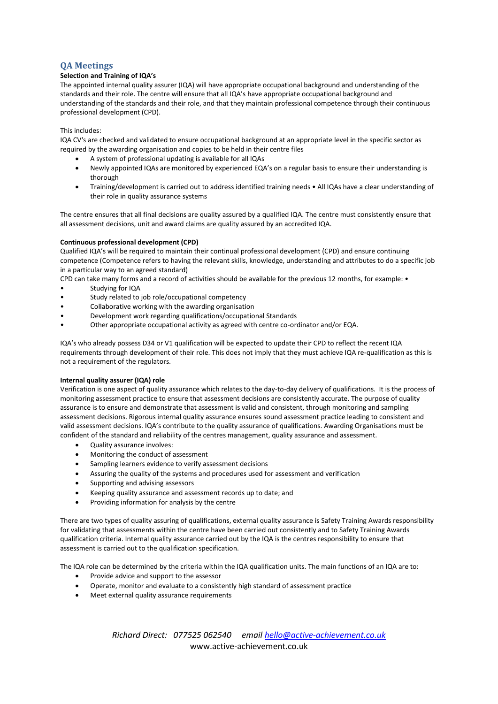# **QA Meetings**

## **Selection and Training of IQA's**

The appointed internal quality assurer (IQA) will have appropriate occupational background and understanding of the standards and their role. The centre will ensure that all IQA's have appropriate occupational background and understanding of the standards and their role, and that they maintain professional competence through their continuous professional development (CPD).

## This includes:

IQA CV's are checked and validated to ensure occupational background at an appropriate level in the specific sector as required by the awarding organisation and copies to be held in their centre files

- A system of professional updating is available for all IQAs
- Newly appointed IQAs are monitored by experienced EQA's on a regular basis to ensure their understanding is thorough
- Training/development is carried out to address identified training needs All IQAs have a clear understanding of their role in quality assurance systems

The centre ensures that all final decisions are quality assured by a qualified IQA. The centre must consistently ensure that all assessment decisions, unit and award claims are quality assured by an accredited IQA.

## **Continuous professional development (CPD)**

Qualified IQA's will be required to maintain their continual professional development (CPD) and ensure continuing competence (Competence refers to having the relevant skills, knowledge, understanding and attributes to do a specific job in a particular way to an agreed standard)

CPD can take many forms and a record of activities should be available for the previous 12 months, for example: •

- Studying for IQA
- Study related to job role/occupational competency
- Collaborative working with the awarding organisation
- Development work regarding qualifications/occupational Standards
- Other appropriate occupational activity as agreed with centre co-ordinator and/or EQA.

IQA's who already possess D34 or V1 qualification will be expected to update their CPD to reflect the recent IQA requirements through development of their role. This does not imply that they must achieve IQA re-qualification as this is not a requirement of the regulators.

## **Internal quality assurer (IQA) role**

Verification is one aspect of quality assurance which relates to the day-to-day delivery of qualifications. It is the process of monitoring assessment practice to ensure that assessment decisions are consistently accurate. The purpose of quality assurance is to ensure and demonstrate that assessment is valid and consistent, through monitoring and sampling assessment decisions. Rigorous internal quality assurance ensures sound assessment practice leading to consistent and valid assessment decisions. IQA's contribute to the quality assurance of qualifications. Awarding Organisations must be confident of the standard and reliability of the centres management, quality assurance and assessment.

- Quality assurance involves:
- Monitoring the conduct of assessment
- Sampling learners evidence to verify assessment decisions
- Assuring the quality of the systems and procedures used for assessment and verification
- Supporting and advising assessors
- Keeping quality assurance and assessment records up to date; and
- Providing information for analysis by the centre

There are two types of quality assuring of qualifications, external quality assurance is Safety Training Awards responsibility for validating that assessments within the centre have been carried out consistently and to Safety Training Awards qualification criteria. Internal quality assurance carried out by the IQA is the centres responsibility to ensure that assessment is carried out to the qualification specification.

The IQA role can be determined by the criteria within the IQA qualification units. The main functions of an IQA are to:

- Provide advice and support to the assessor
- Operate, monitor and evaluate to a consistently high standard of assessment practice
- Meet external quality assurance requirements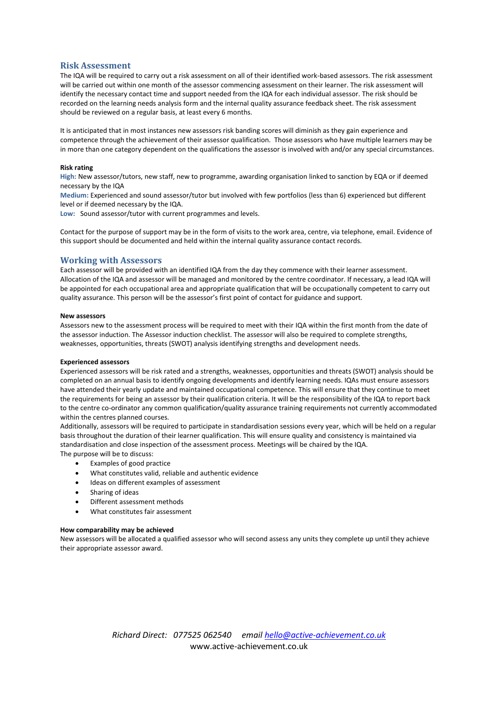## **Risk Assessment**

The IQA will be required to carry out a risk assessment on all of their identified work-based assessors. The risk assessment will be carried out within one month of the assessor commencing assessment on their learner. The risk assessment will identify the necessary contact time and support needed from the IQA for each individual assessor. The risk should be recorded on the learning needs analysis form and the internal quality assurance feedback sheet. The risk assessment should be reviewed on a regular basis, at least every 6 months.

It is anticipated that in most instances new assessors risk banding scores will diminish as they gain experience and competence through the achievement of their assessor qualification. Those assessors who have multiple learners may be in more than one category dependent on the qualifications the assessor is involved with and/or any special circumstances.

#### **Risk rating**

**High:** New assessor/tutors, new staff, new to programme, awarding organisation linked to sanction by EQA or if deemed necessary by the IQA

**Medium:** Experienced and sound assessor/tutor but involved with few portfolios (less than 6) experienced but different level or if deemed necessary by the IQA.

**Low:** Sound assessor/tutor with current programmes and levels.

Contact for the purpose of support may be in the form of visits to the work area, centre, via telephone, email. Evidence of this support should be documented and held within the internal quality assurance contact records.

## **Working with Assessors**

Each assessor will be provided with an identified IQA from the day they commence with their learner assessment. Allocation of the IQA and assessor will be managed and monitored by the centre coordinator. If necessary, a lead IQA will be appointed for each occupational area and appropriate qualification that will be occupationally competent to carry out quality assurance. This person will be the assessor's first point of contact for guidance and support.

#### **New assessors**

Assessors new to the assessment process will be required to meet with their IQA within the first month from the date of the assessor induction. The Assessor induction checklist. The assessor will also be required to complete strengths, weaknesses, opportunities, threats (SWOT) analysis identifying strengths and development needs.

#### **Experienced assessors**

Experienced assessors will be risk rated and a strengths, weaknesses, opportunities and threats (SWOT) analysis should be completed on an annual basis to identify ongoing developments and identify learning needs. IQAs must ensure assessors have attended their yearly update and maintained occupational competence. This will ensure that they continue to meet the requirements for being an assessor by their qualification criteria. It will be the responsibility of the IQA to report back to the centre co-ordinator any common qualification/quality assurance training requirements not currently accommodated within the centres planned courses.

Additionally, assessors will be required to participate in standardisation sessions every year, which will be held on a regular basis throughout the duration of their learner qualification. This will ensure quality and consistency is maintained via standardisation and close inspection of the assessment process. Meetings will be chaired by the IQA. The purpose will be to discuss:

- Examples of good practice
- What constitutes valid, reliable and authentic evidence
- Ideas on different examples of assessment
- Sharing of ideas
- Different assessment methods
- What constitutes fair assessment

#### **How comparability may be achieved**

New assessors will be allocated a qualified assessor who will second assess any units they complete up until they achieve their appropriate assessor award.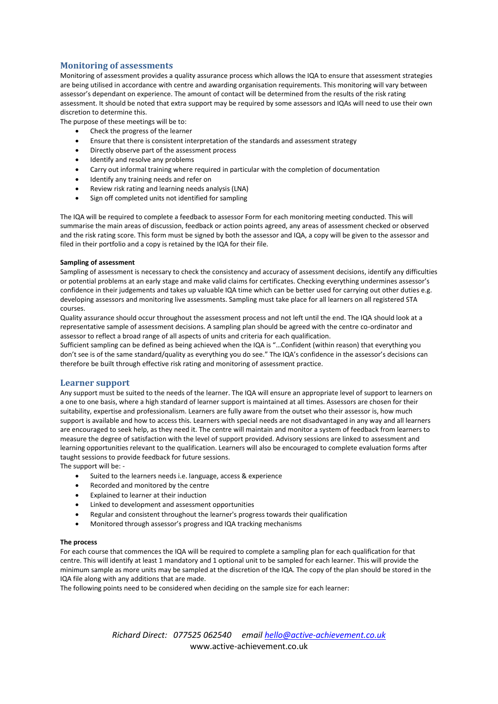# **Monitoring of assessments**

Monitoring of assessment provides a quality assurance process which allows the IQA to ensure that assessment strategies are being utilised in accordance with centre and awarding organisation requirements. This monitoring will vary between assessor's dependant on experience. The amount of contact will be determined from the results of the risk rating assessment. It should be noted that extra support may be required by some assessors and IQAs will need to use their own discretion to determine this.

The purpose of these meetings will be to:

- Check the progress of the learner
- Ensure that there is consistent interpretation of the standards and assessment strategy
- Directly observe part of the assessment process
- Identify and resolve any problems
- Carry out informal training where required in particular with the completion of documentation
- Identify any training needs and refer on
- Review risk rating and learning needs analysis (LNA)
- Sign off completed units not identified for sampling

The IQA will be required to complete a feedback to assessor Form for each monitoring meeting conducted. This will summarise the main areas of discussion, feedback or action points agreed, any areas of assessment checked or observed and the risk rating score. This form must be signed by both the assessor and IQA, a copy will be given to the assessor and filed in their portfolio and a copy is retained by the IQA for their file.

## **Sampling of assessment**

Sampling of assessment is necessary to check the consistency and accuracy of assessment decisions, identify any difficulties or potential problems at an early stage and make valid claims for certificates. Checking everything undermines assessor's confidence in their judgements and takes up valuable IQA time which can be better used for carrying out other duties e.g. developing assessors and monitoring live assessments. Sampling must take place for all learners on all registered STA courses.

Quality assurance should occur throughout the assessment process and not left until the end. The IQA should look at a representative sample of assessment decisions. A sampling plan should be agreed with the centre co-ordinator and assessor to reflect a broad range of all aspects of units and criteria for each qualification.

Sufficient sampling can be defined as being achieved when the IQA is "…Confident (within reason) that everything you don't see is of the same standard/quality as everything you do see." The IQA's confidence in the assessor's decisions can therefore be built through effective risk rating and monitoring of assessment practice.

## **Learner support**

Any support must be suited to the needs of the learner. The IQA will ensure an appropriate level of support to learners on a one to one basis, where a high standard of learner support is maintained at all times. Assessors are chosen for their suitability, expertise and professionalism. Learners are fully aware from the outset who their assessor is, how much support is available and how to access this. Learners with special needs are not disadvantaged in any way and all learners are encouraged to seek help, as they need it. The centre will maintain and monitor a system of feedback from learners to measure the degree of satisfaction with the level of support provided. Advisory sessions are linked to assessment and learning opportunities relevant to the qualification. Learners will also be encouraged to complete evaluation forms after taught sessions to provide feedback for future sessions.

The support will be: -

- Suited to the learners needs i.e. language, access & experience
- Recorded and monitored by the centre
- Explained to learner at their induction
- Linked to development and assessment opportunities
- Regular and consistent throughout the learner's progress towards their qualification
- Monitored through assessor's progress and IQA tracking mechanisms

#### **The process**

For each course that commences the IQA will be required to complete a sampling plan for each qualification for that centre. This will identify at least 1 mandatory and 1 optional unit to be sampled for each learner. This will provide the minimum sample as more units may be sampled at the discretion of the IQA. The copy of the plan should be stored in the IQA file along with any additions that are made.

The following points need to be considered when deciding on the sample size for each learner:

*Richard Direct: 077525 062540 email hello@active-achievement.co.uk* www.active-achievement.co.uk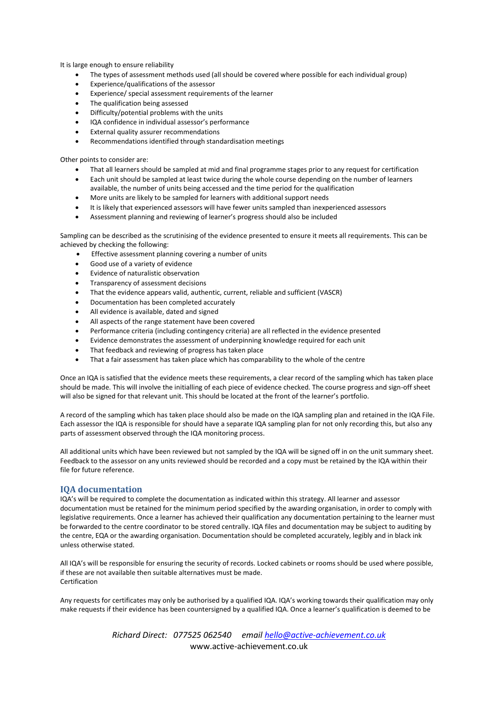It is large enough to ensure reliability

- The types of assessment methods used (all should be covered where possible for each individual group)
- Experience/qualifications of the assessor
- Experience/ special assessment requirements of the learner
- The qualification being assessed
- Difficulty/potential problems with the units
- IQA confidence in individual assessor's performance
- External quality assurer recommendations
- Recommendations identified through standardisation meetings

Other points to consider are:

- That all learners should be sampled at mid and final programme stages prior to any request for certification
- Each unit should be sampled at least twice during the whole course depending on the number of learners available, the number of units being accessed and the time period for the qualification
- More units are likely to be sampled for learners with additional support needs
- It is likely that experienced assessors will have fewer units sampled than inexperienced assessors
- Assessment planning and reviewing of learner's progress should also be included

Sampling can be described as the scrutinising of the evidence presented to ensure it meets all requirements. This can be achieved by checking the following:

- Effective assessment planning covering a number of units
- Good use of a variety of evidence
- Evidence of naturalistic observation
- Transparency of assessment decisions
- That the evidence appears valid, authentic, current, reliable and sufficient (VASCR)
- Documentation has been completed accurately
- All evidence is available, dated and signed
- All aspects of the range statement have been covered
- Performance criteria (including contingency criteria) are all reflected in the evidence presented
- Evidence demonstrates the assessment of underpinning knowledge required for each unit
- That feedback and reviewing of progress has taken place
- That a fair assessment has taken place which has comparability to the whole of the centre

Once an IQA is satisfied that the evidence meets these requirements, a clear record of the sampling which has taken place should be made. This will involve the initialling of each piece of evidence checked. The course progress and sign-off sheet will also be signed for that relevant unit. This should be located at the front of the learner's portfolio.

A record of the sampling which has taken place should also be made on the IQA sampling plan and retained in the IQA File. Each assessor the IQA is responsible for should have a separate IQA sampling plan for not only recording this, but also any parts of assessment observed through the IQA monitoring process.

All additional units which have been reviewed but not sampled by the IQA will be signed off in on the unit summary sheet. Feedback to the assessor on any units reviewed should be recorded and a copy must be retained by the IQA within their file for future reference.

## **IQA documentation**

IQA's will be required to complete the documentation as indicated within this strategy. All learner and assessor documentation must be retained for the minimum period specified by the awarding organisation, in order to comply with legislative requirements. Once a learner has achieved their qualification any documentation pertaining to the learner must be forwarded to the centre coordinator to be stored centrally. IQA files and documentation may be subject to auditing by the centre, EQA or the awarding organisation. Documentation should be completed accurately, legibly and in black ink unless otherwise stated.

All IQA's will be responsible for ensuring the security of records. Locked cabinets or rooms should be used where possible, if these are not available then suitable alternatives must be made. Certification

Any requests for certificates may only be authorised by a qualified IQA. IQA's working towards their qualification may only make requests if their evidence has been countersigned by a qualified IQA. Once a learner's qualification is deemed to be

> *Richard Direct: 077525 062540 email hello@active-achievement.co.uk* www.active-achievement.co.uk